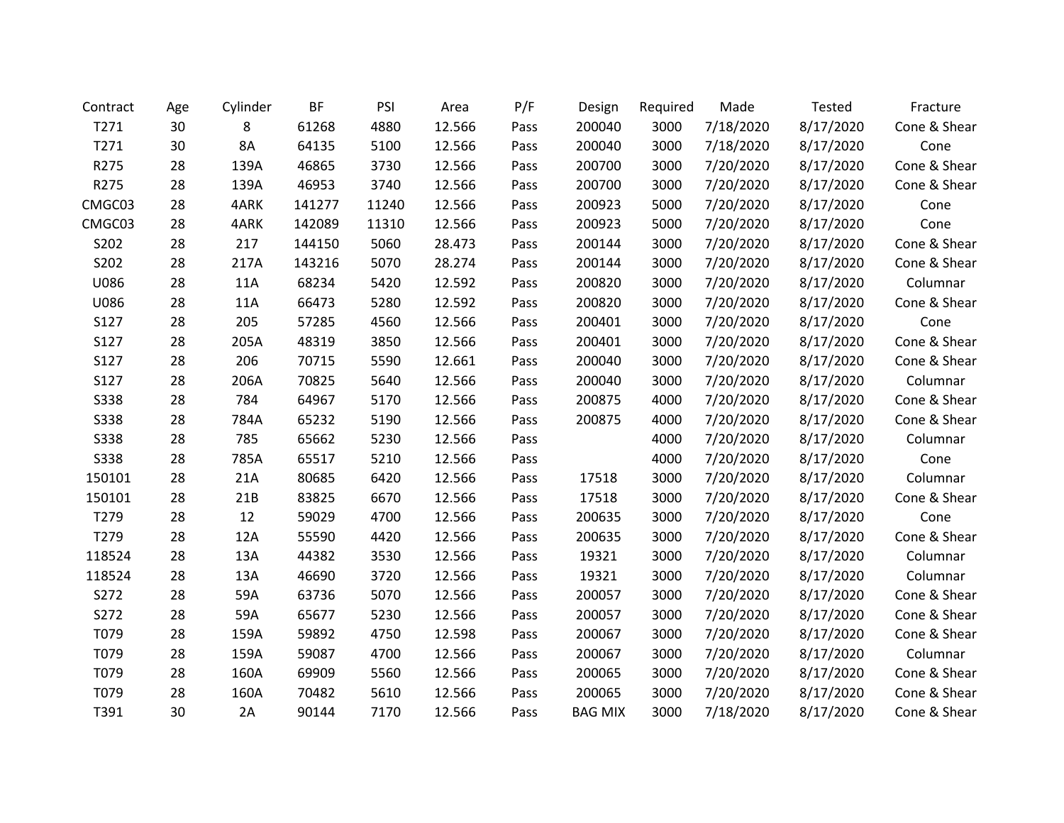| Contract    | Age | Cylinder  | <b>BF</b> | PSI   | Area   | P/F  | Design         | Required | Made      | <b>Tested</b> | Fracture     |
|-------------|-----|-----------|-----------|-------|--------|------|----------------|----------|-----------|---------------|--------------|
| T271        | 30  | 8         | 61268     | 4880  | 12.566 | Pass | 200040         | 3000     | 7/18/2020 | 8/17/2020     | Cone & Shear |
| T271        | 30  | <b>8A</b> | 64135     | 5100  | 12.566 | Pass | 200040         | 3000     | 7/18/2020 | 8/17/2020     | Cone         |
| R275        | 28  | 139A      | 46865     | 3730  | 12.566 | Pass | 200700         | 3000     | 7/20/2020 | 8/17/2020     | Cone & Shear |
| R275        | 28  | 139A      | 46953     | 3740  | 12.566 | Pass | 200700         | 3000     | 7/20/2020 | 8/17/2020     | Cone & Shear |
| CMGC03      | 28  | 4ARK      | 141277    | 11240 | 12.566 | Pass | 200923         | 5000     | 7/20/2020 | 8/17/2020     | Cone         |
| CMGC03      | 28  | 4ARK      | 142089    | 11310 | 12.566 | Pass | 200923         | 5000     | 7/20/2020 | 8/17/2020     | Cone         |
| S202        | 28  | 217       | 144150    | 5060  | 28.473 | Pass | 200144         | 3000     | 7/20/2020 | 8/17/2020     | Cone & Shear |
| S202        | 28  | 217A      | 143216    | 5070  | 28.274 | Pass | 200144         | 3000     | 7/20/2020 | 8/17/2020     | Cone & Shear |
| U086        | 28  | 11A       | 68234     | 5420  | 12.592 | Pass | 200820         | 3000     | 7/20/2020 | 8/17/2020     | Columnar     |
| U086        | 28  | 11A       | 66473     | 5280  | 12.592 | Pass | 200820         | 3000     | 7/20/2020 | 8/17/2020     | Cone & Shear |
| S127        | 28  | 205       | 57285     | 4560  | 12.566 | Pass | 200401         | 3000     | 7/20/2020 | 8/17/2020     | Cone         |
| S127        | 28  | 205A      | 48319     | 3850  | 12.566 | Pass | 200401         | 3000     | 7/20/2020 | 8/17/2020     | Cone & Shear |
| S127        | 28  | 206       | 70715     | 5590  | 12.661 | Pass | 200040         | 3000     | 7/20/2020 | 8/17/2020     | Cone & Shear |
| S127        | 28  | 206A      | 70825     | 5640  | 12.566 | Pass | 200040         | 3000     | 7/20/2020 | 8/17/2020     | Columnar     |
| <b>S338</b> | 28  | 784       | 64967     | 5170  | 12.566 | Pass | 200875         | 4000     | 7/20/2020 | 8/17/2020     | Cone & Shear |
| <b>S338</b> | 28  | 784A      | 65232     | 5190  | 12.566 | Pass | 200875         | 4000     | 7/20/2020 | 8/17/2020     | Cone & Shear |
| <b>S338</b> | 28  | 785       | 65662     | 5230  | 12.566 | Pass |                | 4000     | 7/20/2020 | 8/17/2020     | Columnar     |
| <b>S338</b> | 28  | 785A      | 65517     | 5210  | 12.566 | Pass |                | 4000     | 7/20/2020 | 8/17/2020     | Cone         |
| 150101      | 28  | 21A       | 80685     | 6420  | 12.566 | Pass | 17518          | 3000     | 7/20/2020 | 8/17/2020     | Columnar     |
| 150101      | 28  | 21B       | 83825     | 6670  | 12.566 | Pass | 17518          | 3000     | 7/20/2020 | 8/17/2020     | Cone & Shear |
| T279        | 28  | 12        | 59029     | 4700  | 12.566 | Pass | 200635         | 3000     | 7/20/2020 | 8/17/2020     | Cone         |
| T279        | 28  | 12A       | 55590     | 4420  | 12.566 | Pass | 200635         | 3000     | 7/20/2020 | 8/17/2020     | Cone & Shear |
| 118524      | 28  | 13A       | 44382     | 3530  | 12.566 | Pass | 19321          | 3000     | 7/20/2020 | 8/17/2020     | Columnar     |
| 118524      | 28  | 13A       | 46690     | 3720  | 12.566 | Pass | 19321          | 3000     | 7/20/2020 | 8/17/2020     | Columnar     |
| S272        | 28  | 59A       | 63736     | 5070  | 12.566 | Pass | 200057         | 3000     | 7/20/2020 | 8/17/2020     | Cone & Shear |
| S272        | 28  | 59A       | 65677     | 5230  | 12.566 | Pass | 200057         | 3000     | 7/20/2020 | 8/17/2020     | Cone & Shear |
| T079        | 28  | 159A      | 59892     | 4750  | 12.598 | Pass | 200067         | 3000     | 7/20/2020 | 8/17/2020     | Cone & Shear |
| T079        | 28  | 159A      | 59087     | 4700  | 12.566 | Pass | 200067         | 3000     | 7/20/2020 | 8/17/2020     | Columnar     |
| T079        | 28  | 160A      | 69909     | 5560  | 12.566 | Pass | 200065         | 3000     | 7/20/2020 | 8/17/2020     | Cone & Shear |
| T079        | 28  | 160A      | 70482     | 5610  | 12.566 | Pass | 200065         | 3000     | 7/20/2020 | 8/17/2020     | Cone & Shear |
| T391        | 30  | 2A        | 90144     | 7170  | 12.566 | Pass | <b>BAG MIX</b> | 3000     | 7/18/2020 | 8/17/2020     | Cone & Shear |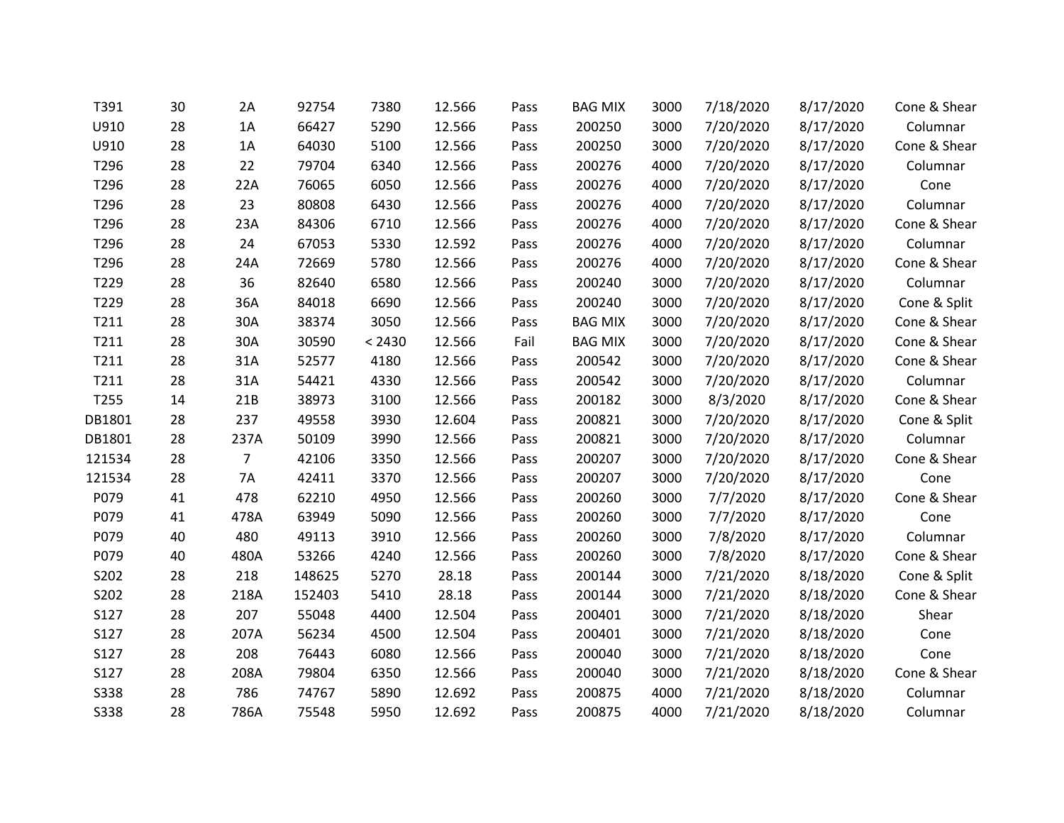| T391        | 30 | 2A             | 92754  | 7380   | 12.566 | Pass | <b>BAG MIX</b> | 3000 | 7/18/2020 | 8/17/2020 | Cone & Shear |
|-------------|----|----------------|--------|--------|--------|------|----------------|------|-----------|-----------|--------------|
| U910        | 28 | 1A             | 66427  | 5290   | 12.566 | Pass | 200250         | 3000 | 7/20/2020 | 8/17/2020 | Columnar     |
| U910        | 28 | 1A             | 64030  | 5100   | 12.566 | Pass | 200250         | 3000 | 7/20/2020 | 8/17/2020 | Cone & Shear |
| T296        | 28 | 22             | 79704  | 6340   | 12.566 | Pass | 200276         | 4000 | 7/20/2020 | 8/17/2020 | Columnar     |
| T296        | 28 | 22A            | 76065  | 6050   | 12.566 | Pass | 200276         | 4000 | 7/20/2020 | 8/17/2020 | Cone         |
| T296        | 28 | 23             | 80808  | 6430   | 12.566 | Pass | 200276         | 4000 | 7/20/2020 | 8/17/2020 | Columnar     |
| T296        | 28 | 23A            | 84306  | 6710   | 12.566 | Pass | 200276         | 4000 | 7/20/2020 | 8/17/2020 | Cone & Shear |
| T296        | 28 | 24             | 67053  | 5330   | 12.592 | Pass | 200276         | 4000 | 7/20/2020 | 8/17/2020 | Columnar     |
| T296        | 28 | 24A            | 72669  | 5780   | 12.566 | Pass | 200276         | 4000 | 7/20/2020 | 8/17/2020 | Cone & Shear |
| T229        | 28 | 36             | 82640  | 6580   | 12.566 | Pass | 200240         | 3000 | 7/20/2020 | 8/17/2020 | Columnar     |
| T229        | 28 | 36A            | 84018  | 6690   | 12.566 | Pass | 200240         | 3000 | 7/20/2020 | 8/17/2020 | Cone & Split |
| T211        | 28 | 30A            | 38374  | 3050   | 12.566 | Pass | <b>BAG MIX</b> | 3000 | 7/20/2020 | 8/17/2020 | Cone & Shear |
| T211        | 28 | 30A            | 30590  | < 2430 | 12.566 | Fail | <b>BAG MIX</b> | 3000 | 7/20/2020 | 8/17/2020 | Cone & Shear |
| T211        | 28 | 31A            | 52577  | 4180   | 12.566 | Pass | 200542         | 3000 | 7/20/2020 | 8/17/2020 | Cone & Shear |
| T211        | 28 | 31A            | 54421  | 4330   | 12.566 | Pass | 200542         | 3000 | 7/20/2020 | 8/17/2020 | Columnar     |
| T255        | 14 | 21B            | 38973  | 3100   | 12.566 | Pass | 200182         | 3000 | 8/3/2020  | 8/17/2020 | Cone & Shear |
| DB1801      | 28 | 237            | 49558  | 3930   | 12.604 | Pass | 200821         | 3000 | 7/20/2020 | 8/17/2020 | Cone & Split |
| DB1801      | 28 | 237A           | 50109  | 3990   | 12.566 | Pass | 200821         | 3000 | 7/20/2020 | 8/17/2020 | Columnar     |
| 121534      | 28 | $\overline{7}$ | 42106  | 3350   | 12.566 | Pass | 200207         | 3000 | 7/20/2020 | 8/17/2020 | Cone & Shear |
| 121534      | 28 | 7A             | 42411  | 3370   | 12.566 | Pass | 200207         | 3000 | 7/20/2020 | 8/17/2020 | Cone         |
| P079        | 41 | 478            | 62210  | 4950   | 12.566 | Pass | 200260         | 3000 | 7/7/2020  | 8/17/2020 | Cone & Shear |
| P079        | 41 | 478A           | 63949  | 5090   | 12.566 | Pass | 200260         | 3000 | 7/7/2020  | 8/17/2020 | Cone         |
| P079        | 40 | 480            | 49113  | 3910   | 12.566 | Pass | 200260         | 3000 | 7/8/2020  | 8/17/2020 | Columnar     |
| P079        | 40 | 480A           | 53266  | 4240   | 12.566 | Pass | 200260         | 3000 | 7/8/2020  | 8/17/2020 | Cone & Shear |
| S202        | 28 | 218            | 148625 | 5270   | 28.18  | Pass | 200144         | 3000 | 7/21/2020 | 8/18/2020 | Cone & Split |
| S202        | 28 | 218A           | 152403 | 5410   | 28.18  | Pass | 200144         | 3000 | 7/21/2020 | 8/18/2020 | Cone & Shear |
| S127        | 28 | 207            | 55048  | 4400   | 12.504 | Pass | 200401         | 3000 | 7/21/2020 | 8/18/2020 | Shear        |
| S127        | 28 | 207A           | 56234  | 4500   | 12.504 | Pass | 200401         | 3000 | 7/21/2020 | 8/18/2020 | Cone         |
| S127        | 28 | 208            | 76443  | 6080   | 12.566 | Pass | 200040         | 3000 | 7/21/2020 | 8/18/2020 | Cone         |
| S127        | 28 | 208A           | 79804  | 6350   | 12.566 | Pass | 200040         | 3000 | 7/21/2020 | 8/18/2020 | Cone & Shear |
| <b>S338</b> | 28 | 786            | 74767  | 5890   | 12.692 | Pass | 200875         | 4000 | 7/21/2020 | 8/18/2020 | Columnar     |
| <b>S338</b> | 28 | 786A           | 75548  | 5950   | 12.692 | Pass | 200875         | 4000 | 7/21/2020 | 8/18/2020 | Columnar     |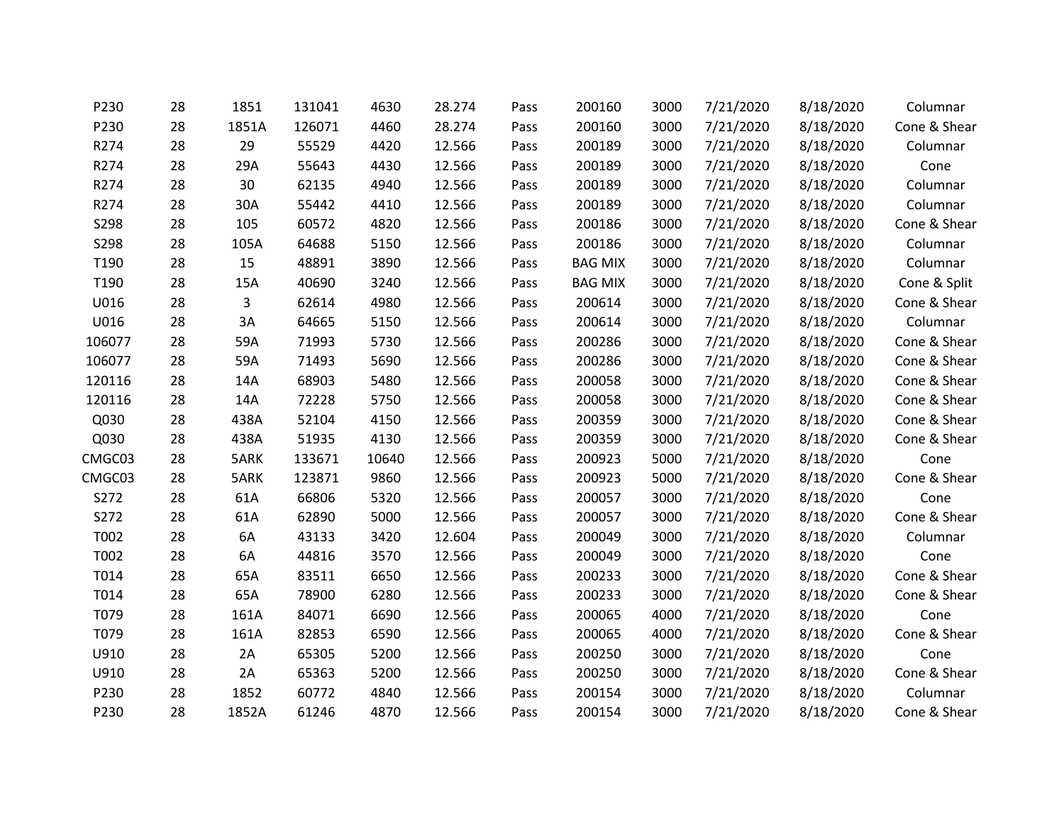| P230   | 28 | 1851  | 131041 | 4630  | 28.274 | Pass | 200160         | 3000 | 7/21/2020 | 8/18/2020 | Columnar     |
|--------|----|-------|--------|-------|--------|------|----------------|------|-----------|-----------|--------------|
| P230   | 28 | 1851A | 126071 | 4460  | 28.274 | Pass | 200160         | 3000 | 7/21/2020 | 8/18/2020 | Cone & Shear |
| R274   | 28 | 29    | 55529  | 4420  | 12.566 | Pass | 200189         | 3000 | 7/21/2020 | 8/18/2020 | Columnar     |
| R274   | 28 | 29A   | 55643  | 4430  | 12.566 | Pass | 200189         | 3000 | 7/21/2020 | 8/18/2020 | Cone         |
| R274   | 28 | 30    | 62135  | 4940  | 12.566 | Pass | 200189         | 3000 | 7/21/2020 | 8/18/2020 | Columnar     |
| R274   | 28 | 30A   | 55442  | 4410  | 12.566 | Pass | 200189         | 3000 | 7/21/2020 | 8/18/2020 | Columnar     |
| S298   | 28 | 105   | 60572  | 4820  | 12.566 | Pass | 200186         | 3000 | 7/21/2020 | 8/18/2020 | Cone & Shear |
| S298   | 28 | 105A  | 64688  | 5150  | 12.566 | Pass | 200186         | 3000 | 7/21/2020 | 8/18/2020 | Columnar     |
| T190   | 28 | 15    | 48891  | 3890  | 12.566 | Pass | <b>BAG MIX</b> | 3000 | 7/21/2020 | 8/18/2020 | Columnar     |
| T190   | 28 | 15A   | 40690  | 3240  | 12.566 | Pass | <b>BAG MIX</b> | 3000 | 7/21/2020 | 8/18/2020 | Cone & Split |
| U016   | 28 | 3     | 62614  | 4980  | 12.566 | Pass | 200614         | 3000 | 7/21/2020 | 8/18/2020 | Cone & Shear |
| U016   | 28 | 3A    | 64665  | 5150  | 12.566 | Pass | 200614         | 3000 | 7/21/2020 | 8/18/2020 | Columnar     |
| 106077 | 28 | 59A   | 71993  | 5730  | 12.566 | Pass | 200286         | 3000 | 7/21/2020 | 8/18/2020 | Cone & Shear |
| 106077 | 28 | 59A   | 71493  | 5690  | 12.566 | Pass | 200286         | 3000 | 7/21/2020 | 8/18/2020 | Cone & Shear |
| 120116 | 28 | 14A   | 68903  | 5480  | 12.566 | Pass | 200058         | 3000 | 7/21/2020 | 8/18/2020 | Cone & Shear |
| 120116 | 28 | 14A   | 72228  | 5750  | 12.566 | Pass | 200058         | 3000 | 7/21/2020 | 8/18/2020 | Cone & Shear |
| Q030   | 28 | 438A  | 52104  | 4150  | 12.566 | Pass | 200359         | 3000 | 7/21/2020 | 8/18/2020 | Cone & Shear |
| Q030   | 28 | 438A  | 51935  | 4130  | 12.566 | Pass | 200359         | 3000 | 7/21/2020 | 8/18/2020 | Cone & Shear |
| CMGC03 | 28 | 5ARK  | 133671 | 10640 | 12.566 | Pass | 200923         | 5000 | 7/21/2020 | 8/18/2020 | Cone         |
| CMGC03 | 28 | 5ARK  | 123871 | 9860  | 12.566 | Pass | 200923         | 5000 | 7/21/2020 | 8/18/2020 | Cone & Shear |
| S272   | 28 | 61A   | 66806  | 5320  | 12.566 | Pass | 200057         | 3000 | 7/21/2020 | 8/18/2020 | Cone         |
| S272   | 28 | 61A   | 62890  | 5000  | 12.566 | Pass | 200057         | 3000 | 7/21/2020 | 8/18/2020 | Cone & Shear |
| T002   | 28 | 6A    | 43133  | 3420  | 12.604 | Pass | 200049         | 3000 | 7/21/2020 | 8/18/2020 | Columnar     |
| T002   | 28 | 6A    | 44816  | 3570  | 12.566 | Pass | 200049         | 3000 | 7/21/2020 | 8/18/2020 | Cone         |
| T014   | 28 | 65A   | 83511  | 6650  | 12.566 | Pass | 200233         | 3000 | 7/21/2020 | 8/18/2020 | Cone & Shear |
| T014   | 28 | 65A   | 78900  | 6280  | 12.566 | Pass | 200233         | 3000 | 7/21/2020 | 8/18/2020 | Cone & Shear |
| T079   | 28 | 161A  | 84071  | 6690  | 12.566 | Pass | 200065         | 4000 | 7/21/2020 | 8/18/2020 | Cone         |
| T079   | 28 | 161A  | 82853  | 6590  | 12.566 | Pass | 200065         | 4000 | 7/21/2020 | 8/18/2020 | Cone & Shear |
| U910   | 28 | 2A    | 65305  | 5200  | 12.566 | Pass | 200250         | 3000 | 7/21/2020 | 8/18/2020 | Cone         |
| U910   | 28 | 2A    | 65363  | 5200  | 12.566 | Pass | 200250         | 3000 | 7/21/2020 | 8/18/2020 | Cone & Shear |
| P230   | 28 | 1852  | 60772  | 4840  | 12.566 | Pass | 200154         | 3000 | 7/21/2020 | 8/18/2020 | Columnar     |
| P230   | 28 | 1852A | 61246  | 4870  | 12.566 | Pass | 200154         | 3000 | 7/21/2020 | 8/18/2020 | Cone & Shear |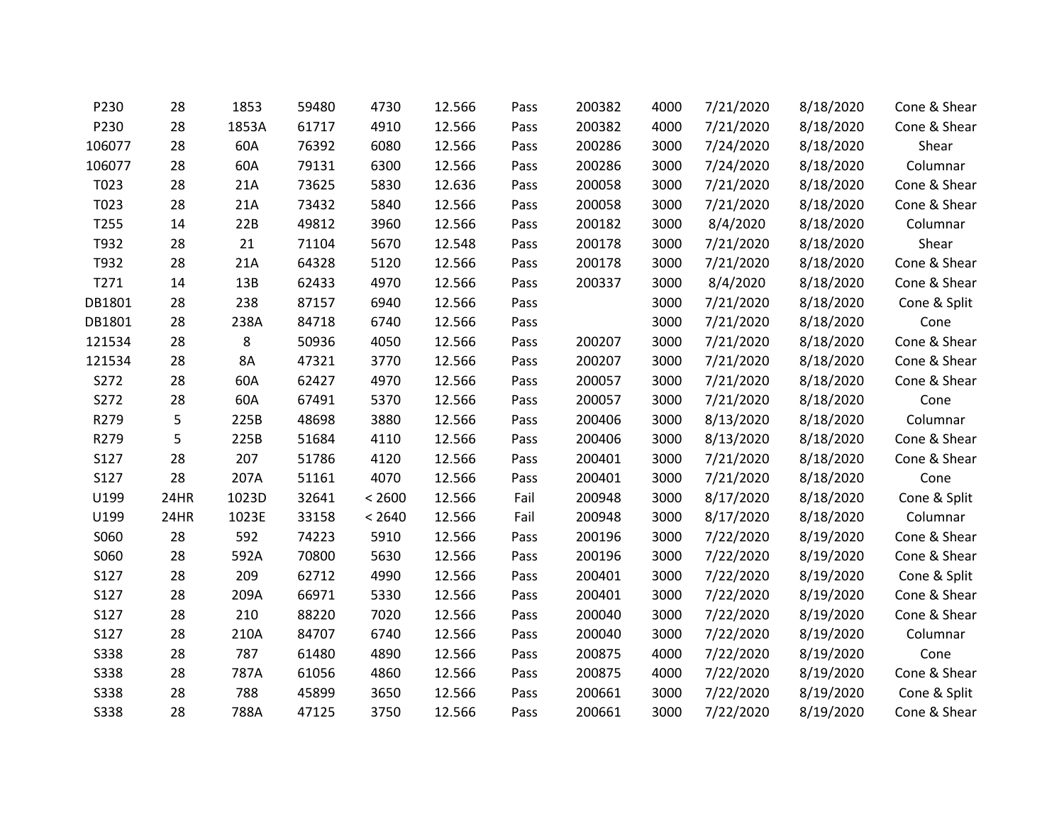| P230        | 28   | 1853      | 59480 | 4730   | 12.566 | Pass | 200382 | 4000 | 7/21/2020 | 8/18/2020 | Cone & Shear |
|-------------|------|-----------|-------|--------|--------|------|--------|------|-----------|-----------|--------------|
| P230        | 28   | 1853A     | 61717 | 4910   | 12.566 | Pass | 200382 | 4000 | 7/21/2020 | 8/18/2020 | Cone & Shear |
| 106077      | 28   | 60A       | 76392 | 6080   | 12.566 | Pass | 200286 | 3000 | 7/24/2020 | 8/18/2020 | Shear        |
| 106077      | 28   | 60A       | 79131 | 6300   | 12.566 | Pass | 200286 | 3000 | 7/24/2020 | 8/18/2020 | Columnar     |
| T023        | 28   | 21A       | 73625 | 5830   | 12.636 | Pass | 200058 | 3000 | 7/21/2020 | 8/18/2020 | Cone & Shear |
| T023        | 28   | 21A       | 73432 | 5840   | 12.566 | Pass | 200058 | 3000 | 7/21/2020 | 8/18/2020 | Cone & Shear |
| T255        | 14   | 22B       | 49812 | 3960   | 12.566 | Pass | 200182 | 3000 | 8/4/2020  | 8/18/2020 | Columnar     |
| T932        | 28   | 21        | 71104 | 5670   | 12.548 | Pass | 200178 | 3000 | 7/21/2020 | 8/18/2020 | Shear        |
| T932        | 28   | 21A       | 64328 | 5120   | 12.566 | Pass | 200178 | 3000 | 7/21/2020 | 8/18/2020 | Cone & Shear |
| T271        | 14   | 13B       | 62433 | 4970   | 12.566 | Pass | 200337 | 3000 | 8/4/2020  | 8/18/2020 | Cone & Shear |
| DB1801      | 28   | 238       | 87157 | 6940   | 12.566 | Pass |        | 3000 | 7/21/2020 | 8/18/2020 | Cone & Split |
| DB1801      | 28   | 238A      | 84718 | 6740   | 12.566 | Pass |        | 3000 | 7/21/2020 | 8/18/2020 | Cone         |
| 121534      | 28   | 8         | 50936 | 4050   | 12.566 | Pass | 200207 | 3000 | 7/21/2020 | 8/18/2020 | Cone & Shear |
| 121534      | 28   | <b>8A</b> | 47321 | 3770   | 12.566 | Pass | 200207 | 3000 | 7/21/2020 | 8/18/2020 | Cone & Shear |
| S272        | 28   | 60A       | 62427 | 4970   | 12.566 | Pass | 200057 | 3000 | 7/21/2020 | 8/18/2020 | Cone & Shear |
| S272        | 28   | 60A       | 67491 | 5370   | 12.566 | Pass | 200057 | 3000 | 7/21/2020 | 8/18/2020 | Cone         |
| R279        | 5    | 225B      | 48698 | 3880   | 12.566 | Pass | 200406 | 3000 | 8/13/2020 | 8/18/2020 | Columnar     |
| R279        | 5    | 225B      | 51684 | 4110   | 12.566 | Pass | 200406 | 3000 | 8/13/2020 | 8/18/2020 | Cone & Shear |
| S127        | 28   | 207       | 51786 | 4120   | 12.566 | Pass | 200401 | 3000 | 7/21/2020 | 8/18/2020 | Cone & Shear |
| S127        | 28   | 207A      | 51161 | 4070   | 12.566 | Pass | 200401 | 3000 | 7/21/2020 | 8/18/2020 | Cone         |
| U199        | 24HR | 1023D     | 32641 | < 2600 | 12.566 | Fail | 200948 | 3000 | 8/17/2020 | 8/18/2020 | Cone & Split |
| U199        | 24HR | 1023E     | 33158 | < 2640 | 12.566 | Fail | 200948 | 3000 | 8/17/2020 | 8/18/2020 | Columnar     |
| S060        | 28   | 592       | 74223 | 5910   | 12.566 | Pass | 200196 | 3000 | 7/22/2020 | 8/19/2020 | Cone & Shear |
| S060        | 28   | 592A      | 70800 | 5630   | 12.566 | Pass | 200196 | 3000 | 7/22/2020 | 8/19/2020 | Cone & Shear |
| S127        | 28   | 209       | 62712 | 4990   | 12.566 | Pass | 200401 | 3000 | 7/22/2020 | 8/19/2020 | Cone & Split |
| S127        | 28   | 209A      | 66971 | 5330   | 12.566 | Pass | 200401 | 3000 | 7/22/2020 | 8/19/2020 | Cone & Shear |
| S127        | 28   | 210       | 88220 | 7020   | 12.566 | Pass | 200040 | 3000 | 7/22/2020 | 8/19/2020 | Cone & Shear |
| S127        | 28   | 210A      | 84707 | 6740   | 12.566 | Pass | 200040 | 3000 | 7/22/2020 | 8/19/2020 | Columnar     |
| <b>S338</b> | 28   | 787       | 61480 | 4890   | 12.566 | Pass | 200875 | 4000 | 7/22/2020 | 8/19/2020 | Cone         |
| <b>S338</b> | 28   | 787A      | 61056 | 4860   | 12.566 | Pass | 200875 | 4000 | 7/22/2020 | 8/19/2020 | Cone & Shear |
| S338        | 28   | 788       | 45899 | 3650   | 12.566 | Pass | 200661 | 3000 | 7/22/2020 | 8/19/2020 | Cone & Split |
| S338        | 28   | 788A      | 47125 | 3750   | 12.566 | Pass | 200661 | 3000 | 7/22/2020 | 8/19/2020 | Cone & Shear |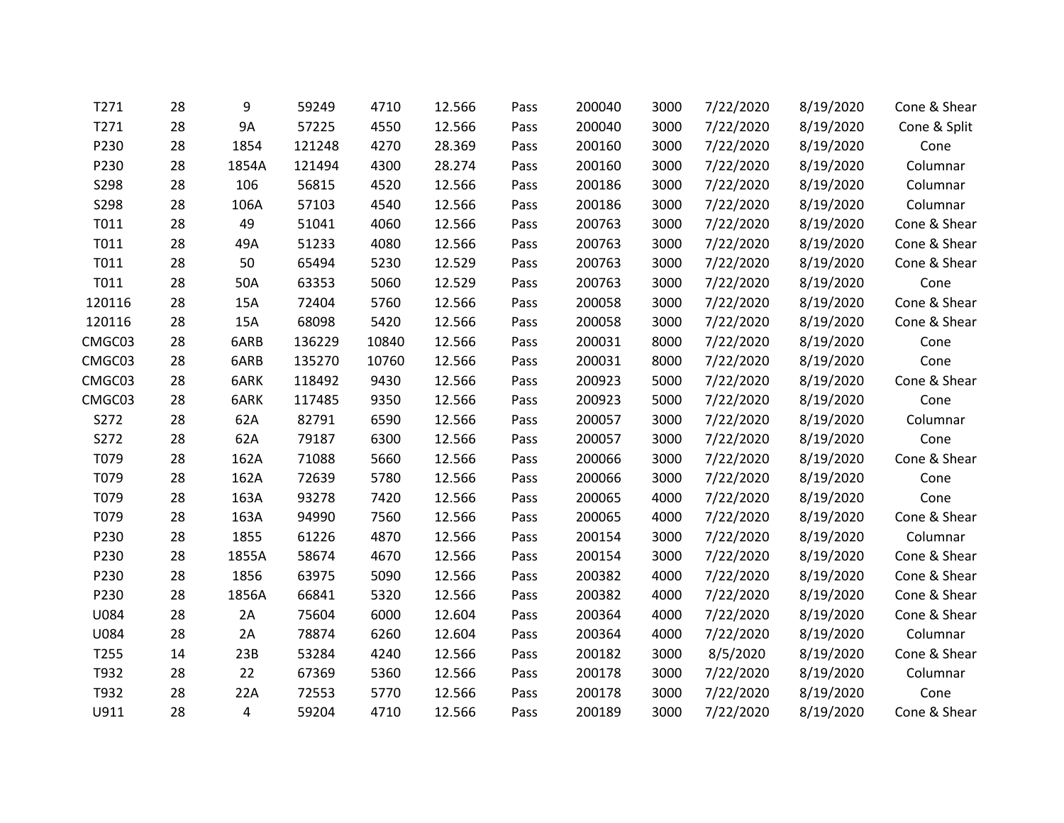| T271   | 28 | 9         | 59249  | 4710  | 12.566 | Pass | 200040 | 3000 | 7/22/2020 | 8/19/2020 | Cone & Shear |
|--------|----|-----------|--------|-------|--------|------|--------|------|-----------|-----------|--------------|
| T271   | 28 | <b>9A</b> | 57225  | 4550  | 12.566 | Pass | 200040 | 3000 | 7/22/2020 | 8/19/2020 | Cone & Split |
| P230   | 28 | 1854      | 121248 | 4270  | 28.369 | Pass | 200160 | 3000 | 7/22/2020 | 8/19/2020 | Cone         |
| P230   | 28 | 1854A     | 121494 | 4300  | 28.274 | Pass | 200160 | 3000 | 7/22/2020 | 8/19/2020 | Columnar     |
| S298   | 28 | 106       | 56815  | 4520  | 12.566 | Pass | 200186 | 3000 | 7/22/2020 | 8/19/2020 | Columnar     |
| S298   | 28 | 106A      | 57103  | 4540  | 12.566 | Pass | 200186 | 3000 | 7/22/2020 | 8/19/2020 | Columnar     |
| T011   | 28 | 49        | 51041  | 4060  | 12.566 | Pass | 200763 | 3000 | 7/22/2020 | 8/19/2020 | Cone & Shear |
| T011   | 28 | 49A       | 51233  | 4080  | 12.566 | Pass | 200763 | 3000 | 7/22/2020 | 8/19/2020 | Cone & Shear |
| T011   | 28 | 50        | 65494  | 5230  | 12.529 | Pass | 200763 | 3000 | 7/22/2020 | 8/19/2020 | Cone & Shear |
| T011   | 28 | 50A       | 63353  | 5060  | 12.529 | Pass | 200763 | 3000 | 7/22/2020 | 8/19/2020 | Cone         |
| 120116 | 28 | 15A       | 72404  | 5760  | 12.566 | Pass | 200058 | 3000 | 7/22/2020 | 8/19/2020 | Cone & Shear |
| 120116 | 28 | 15A       | 68098  | 5420  | 12.566 | Pass | 200058 | 3000 | 7/22/2020 | 8/19/2020 | Cone & Shear |
| CMGC03 | 28 | 6ARB      | 136229 | 10840 | 12.566 | Pass | 200031 | 8000 | 7/22/2020 | 8/19/2020 | Cone         |
| CMGC03 | 28 | 6ARB      | 135270 | 10760 | 12.566 | Pass | 200031 | 8000 | 7/22/2020 | 8/19/2020 | Cone         |
| CMGC03 | 28 | 6ARK      | 118492 | 9430  | 12.566 | Pass | 200923 | 5000 | 7/22/2020 | 8/19/2020 | Cone & Shear |
| CMGC03 | 28 | 6ARK      | 117485 | 9350  | 12.566 | Pass | 200923 | 5000 | 7/22/2020 | 8/19/2020 | Cone         |
| S272   | 28 | 62A       | 82791  | 6590  | 12.566 | Pass | 200057 | 3000 | 7/22/2020 | 8/19/2020 | Columnar     |
| S272   | 28 | 62A       | 79187  | 6300  | 12.566 | Pass | 200057 | 3000 | 7/22/2020 | 8/19/2020 | Cone         |
| T079   | 28 | 162A      | 71088  | 5660  | 12.566 | Pass | 200066 | 3000 | 7/22/2020 | 8/19/2020 | Cone & Shear |
| T079   | 28 | 162A      | 72639  | 5780  | 12.566 | Pass | 200066 | 3000 | 7/22/2020 | 8/19/2020 | Cone         |
| T079   | 28 | 163A      | 93278  | 7420  | 12.566 | Pass | 200065 | 4000 | 7/22/2020 | 8/19/2020 | Cone         |
| T079   | 28 | 163A      | 94990  | 7560  | 12.566 | Pass | 200065 | 4000 | 7/22/2020 | 8/19/2020 | Cone & Shear |
| P230   | 28 | 1855      | 61226  | 4870  | 12.566 | Pass | 200154 | 3000 | 7/22/2020 | 8/19/2020 | Columnar     |
| P230   | 28 | 1855A     | 58674  | 4670  | 12.566 | Pass | 200154 | 3000 | 7/22/2020 | 8/19/2020 | Cone & Shear |
| P230   | 28 | 1856      | 63975  | 5090  | 12.566 | Pass | 200382 | 4000 | 7/22/2020 | 8/19/2020 | Cone & Shear |
| P230   | 28 | 1856A     | 66841  | 5320  | 12.566 | Pass | 200382 | 4000 | 7/22/2020 | 8/19/2020 | Cone & Shear |
| U084   | 28 | 2A        | 75604  | 6000  | 12.604 | Pass | 200364 | 4000 | 7/22/2020 | 8/19/2020 | Cone & Shear |
| U084   | 28 | 2A        | 78874  | 6260  | 12.604 | Pass | 200364 | 4000 | 7/22/2020 | 8/19/2020 | Columnar     |
| T255   | 14 | 23B       | 53284  | 4240  | 12.566 | Pass | 200182 | 3000 | 8/5/2020  | 8/19/2020 | Cone & Shear |
| T932   | 28 | 22        | 67369  | 5360  | 12.566 | Pass | 200178 | 3000 | 7/22/2020 | 8/19/2020 | Columnar     |
| T932   | 28 | 22A       | 72553  | 5770  | 12.566 | Pass | 200178 | 3000 | 7/22/2020 | 8/19/2020 | Cone         |
| U911   | 28 | 4         | 59204  | 4710  | 12.566 | Pass | 200189 | 3000 | 7/22/2020 | 8/19/2020 | Cone & Shear |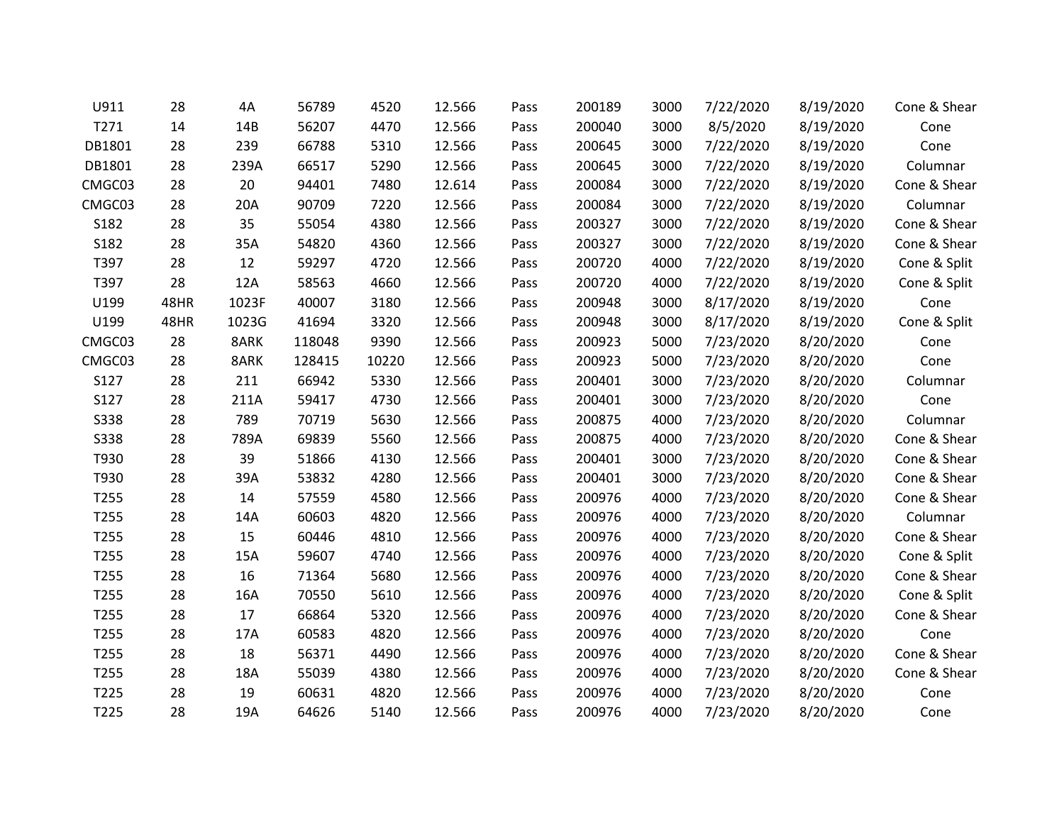| U911             | 28   | 4Α    | 56789  | 4520  | 12.566 | Pass | 200189 | 3000 | 7/22/2020 | 8/19/2020 | Cone & Shear |
|------------------|------|-------|--------|-------|--------|------|--------|------|-----------|-----------|--------------|
| T271             | 14   | 14B   | 56207  | 4470  | 12.566 | Pass | 200040 | 3000 | 8/5/2020  | 8/19/2020 | Cone         |
| DB1801           | 28   | 239   | 66788  | 5310  | 12.566 | Pass | 200645 | 3000 | 7/22/2020 | 8/19/2020 | Cone         |
| DB1801           | 28   | 239A  | 66517  | 5290  | 12.566 | Pass | 200645 | 3000 | 7/22/2020 | 8/19/2020 | Columnar     |
| CMGC03           | 28   | 20    | 94401  | 7480  | 12.614 | Pass | 200084 | 3000 | 7/22/2020 | 8/19/2020 | Cone & Shear |
| CMGC03           | 28   | 20A   | 90709  | 7220  | 12.566 | Pass | 200084 | 3000 | 7/22/2020 | 8/19/2020 | Columnar     |
| S182             | 28   | 35    | 55054  | 4380  | 12.566 | Pass | 200327 | 3000 | 7/22/2020 | 8/19/2020 | Cone & Shear |
| S182             | 28   | 35A   | 54820  | 4360  | 12.566 | Pass | 200327 | 3000 | 7/22/2020 | 8/19/2020 | Cone & Shear |
| T397             | 28   | 12    | 59297  | 4720  | 12.566 | Pass | 200720 | 4000 | 7/22/2020 | 8/19/2020 | Cone & Split |
| T397             | 28   | 12A   | 58563  | 4660  | 12.566 | Pass | 200720 | 4000 | 7/22/2020 | 8/19/2020 | Cone & Split |
| U199             | 48HR | 1023F | 40007  | 3180  | 12.566 | Pass | 200948 | 3000 | 8/17/2020 | 8/19/2020 | Cone         |
| U199             | 48HR | 1023G | 41694  | 3320  | 12.566 | Pass | 200948 | 3000 | 8/17/2020 | 8/19/2020 | Cone & Split |
| CMGC03           | 28   | 8ARK  | 118048 | 9390  | 12.566 | Pass | 200923 | 5000 | 7/23/2020 | 8/20/2020 | Cone         |
| CMGC03           | 28   | 8ARK  | 128415 | 10220 | 12.566 | Pass | 200923 | 5000 | 7/23/2020 | 8/20/2020 | Cone         |
| S127             | 28   | 211   | 66942  | 5330  | 12.566 | Pass | 200401 | 3000 | 7/23/2020 | 8/20/2020 | Columnar     |
| S127             | 28   | 211A  | 59417  | 4730  | 12.566 | Pass | 200401 | 3000 | 7/23/2020 | 8/20/2020 | Cone         |
| <b>S338</b>      | 28   | 789   | 70719  | 5630  | 12.566 | Pass | 200875 | 4000 | 7/23/2020 | 8/20/2020 | Columnar     |
| <b>S338</b>      | 28   | 789A  | 69839  | 5560  | 12.566 | Pass | 200875 | 4000 | 7/23/2020 | 8/20/2020 | Cone & Shear |
| T930             | 28   | 39    | 51866  | 4130  | 12.566 | Pass | 200401 | 3000 | 7/23/2020 | 8/20/2020 | Cone & Shear |
| T930             | 28   | 39A   | 53832  | 4280  | 12.566 | Pass | 200401 | 3000 | 7/23/2020 | 8/20/2020 | Cone & Shear |
| T <sub>255</sub> | 28   | 14    | 57559  | 4580  | 12.566 | Pass | 200976 | 4000 | 7/23/2020 | 8/20/2020 | Cone & Shear |
| T255             | 28   | 14A   | 60603  | 4820  | 12.566 | Pass | 200976 | 4000 | 7/23/2020 | 8/20/2020 | Columnar     |
| T255             | 28   | 15    | 60446  | 4810  | 12.566 | Pass | 200976 | 4000 | 7/23/2020 | 8/20/2020 | Cone & Shear |
| T255             | 28   | 15A   | 59607  | 4740  | 12.566 | Pass | 200976 | 4000 | 7/23/2020 | 8/20/2020 | Cone & Split |
| T255             | 28   | 16    | 71364  | 5680  | 12.566 | Pass | 200976 | 4000 | 7/23/2020 | 8/20/2020 | Cone & Shear |
| T255             | 28   | 16A   | 70550  | 5610  | 12.566 | Pass | 200976 | 4000 | 7/23/2020 | 8/20/2020 | Cone & Split |
| T <sub>255</sub> | 28   | 17    | 66864  | 5320  | 12.566 | Pass | 200976 | 4000 | 7/23/2020 | 8/20/2020 | Cone & Shear |
| T255             | 28   | 17A   | 60583  | 4820  | 12.566 | Pass | 200976 | 4000 | 7/23/2020 | 8/20/2020 | Cone         |
| T255             | 28   | 18    | 56371  | 4490  | 12.566 | Pass | 200976 | 4000 | 7/23/2020 | 8/20/2020 | Cone & Shear |
| T255             | 28   | 18A   | 55039  | 4380  | 12.566 | Pass | 200976 | 4000 | 7/23/2020 | 8/20/2020 | Cone & Shear |
| T225             | 28   | 19    | 60631  | 4820  | 12.566 | Pass | 200976 | 4000 | 7/23/2020 | 8/20/2020 | Cone         |
| T225             | 28   | 19A   | 64626  | 5140  | 12.566 | Pass | 200976 | 4000 | 7/23/2020 | 8/20/2020 | Cone         |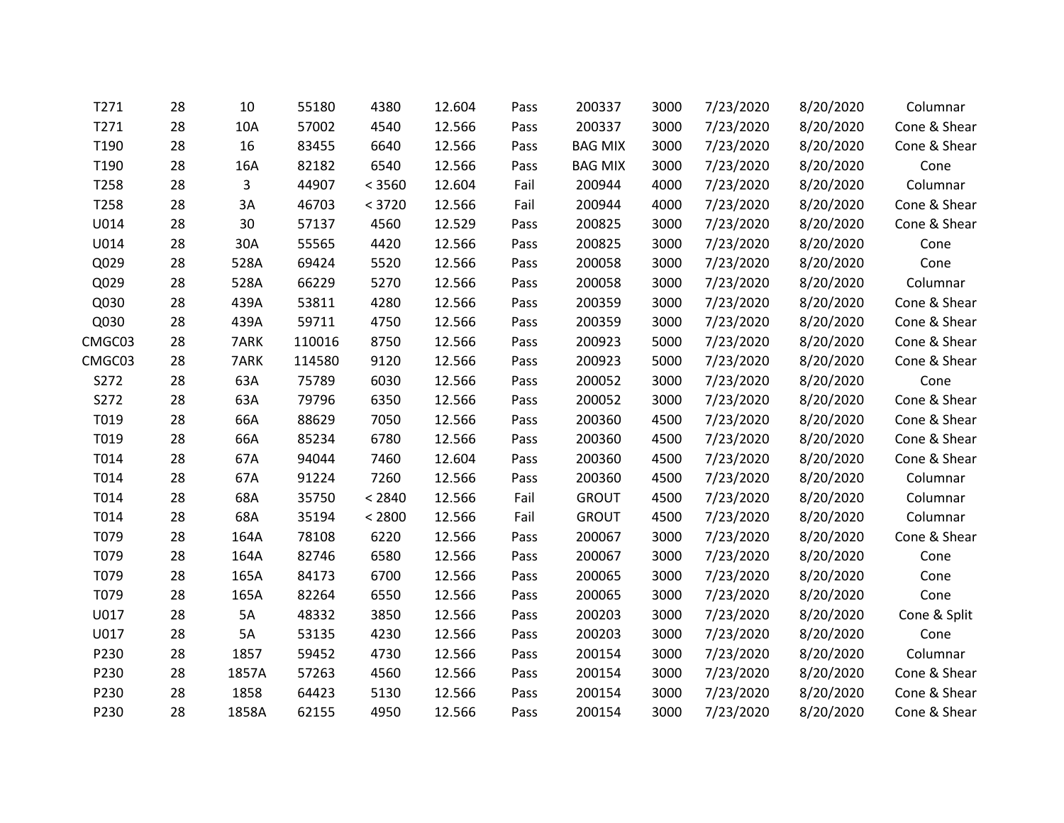| T271   | 28 | 10    | 55180  | 4380   | 12.604 | Pass | 200337         | 3000 | 7/23/2020 | 8/20/2020 | Columnar     |
|--------|----|-------|--------|--------|--------|------|----------------|------|-----------|-----------|--------------|
| T271   | 28 | 10A   | 57002  | 4540   | 12.566 | Pass | 200337         | 3000 | 7/23/2020 | 8/20/2020 | Cone & Shear |
| T190   | 28 | 16    | 83455  | 6640   | 12.566 | Pass | <b>BAG MIX</b> | 3000 | 7/23/2020 | 8/20/2020 | Cone & Shear |
| T190   | 28 | 16A   | 82182  | 6540   | 12.566 | Pass | <b>BAG MIX</b> | 3000 | 7/23/2020 | 8/20/2020 | Cone         |
| T258   | 28 | 3     | 44907  | < 3560 | 12.604 | Fail | 200944         | 4000 | 7/23/2020 | 8/20/2020 | Columnar     |
| T258   | 28 | 3A    | 46703  | < 3720 | 12.566 | Fail | 200944         | 4000 | 7/23/2020 | 8/20/2020 | Cone & Shear |
| U014   | 28 | 30    | 57137  | 4560   | 12.529 | Pass | 200825         | 3000 | 7/23/2020 | 8/20/2020 | Cone & Shear |
| U014   | 28 | 30A   | 55565  | 4420   | 12.566 | Pass | 200825         | 3000 | 7/23/2020 | 8/20/2020 | Cone         |
| Q029   | 28 | 528A  | 69424  | 5520   | 12.566 | Pass | 200058         | 3000 | 7/23/2020 | 8/20/2020 | Cone         |
| Q029   | 28 | 528A  | 66229  | 5270   | 12.566 | Pass | 200058         | 3000 | 7/23/2020 | 8/20/2020 | Columnar     |
| Q030   | 28 | 439A  | 53811  | 4280   | 12.566 | Pass | 200359         | 3000 | 7/23/2020 | 8/20/2020 | Cone & Shear |
| Q030   | 28 | 439A  | 59711  | 4750   | 12.566 | Pass | 200359         | 3000 | 7/23/2020 | 8/20/2020 | Cone & Shear |
| CMGC03 | 28 | 7ARK  | 110016 | 8750   | 12.566 | Pass | 200923         | 5000 | 7/23/2020 | 8/20/2020 | Cone & Shear |
| CMGC03 | 28 | 7ARK  | 114580 | 9120   | 12.566 | Pass | 200923         | 5000 | 7/23/2020 | 8/20/2020 | Cone & Shear |
| S272   | 28 | 63A   | 75789  | 6030   | 12.566 | Pass | 200052         | 3000 | 7/23/2020 | 8/20/2020 | Cone         |
| S272   | 28 | 63A   | 79796  | 6350   | 12.566 | Pass | 200052         | 3000 | 7/23/2020 | 8/20/2020 | Cone & Shear |
| T019   | 28 | 66A   | 88629  | 7050   | 12.566 | Pass | 200360         | 4500 | 7/23/2020 | 8/20/2020 | Cone & Shear |
| T019   | 28 | 66A   | 85234  | 6780   | 12.566 | Pass | 200360         | 4500 | 7/23/2020 | 8/20/2020 | Cone & Shear |
| T014   | 28 | 67A   | 94044  | 7460   | 12.604 | Pass | 200360         | 4500 | 7/23/2020 | 8/20/2020 | Cone & Shear |
| T014   | 28 | 67A   | 91224  | 7260   | 12.566 | Pass | 200360         | 4500 | 7/23/2020 | 8/20/2020 | Columnar     |
| T014   | 28 | 68A   | 35750  | < 2840 | 12.566 | Fail | <b>GROUT</b>   | 4500 | 7/23/2020 | 8/20/2020 | Columnar     |
| T014   | 28 | 68A   | 35194  | < 2800 | 12.566 | Fail | <b>GROUT</b>   | 4500 | 7/23/2020 | 8/20/2020 | Columnar     |
| T079   | 28 | 164A  | 78108  | 6220   | 12.566 | Pass | 200067         | 3000 | 7/23/2020 | 8/20/2020 | Cone & Shear |
| T079   | 28 | 164A  | 82746  | 6580   | 12.566 | Pass | 200067         | 3000 | 7/23/2020 | 8/20/2020 | Cone         |
| T079   | 28 | 165A  | 84173  | 6700   | 12.566 | Pass | 200065         | 3000 | 7/23/2020 | 8/20/2020 | Cone         |
| T079   | 28 | 165A  | 82264  | 6550   | 12.566 | Pass | 200065         | 3000 | 7/23/2020 | 8/20/2020 | Cone         |
| U017   | 28 | 5A    | 48332  | 3850   | 12.566 | Pass | 200203         | 3000 | 7/23/2020 | 8/20/2020 | Cone & Split |
| U017   | 28 | 5A    | 53135  | 4230   | 12.566 | Pass | 200203         | 3000 | 7/23/2020 | 8/20/2020 | Cone         |
| P230   | 28 | 1857  | 59452  | 4730   | 12.566 | Pass | 200154         | 3000 | 7/23/2020 | 8/20/2020 | Columnar     |
| P230   | 28 | 1857A | 57263  | 4560   | 12.566 | Pass | 200154         | 3000 | 7/23/2020 | 8/20/2020 | Cone & Shear |
| P230   | 28 | 1858  | 64423  | 5130   | 12.566 | Pass | 200154         | 3000 | 7/23/2020 | 8/20/2020 | Cone & Shear |
| P230   | 28 | 1858A | 62155  | 4950   | 12.566 | Pass | 200154         | 3000 | 7/23/2020 | 8/20/2020 | Cone & Shear |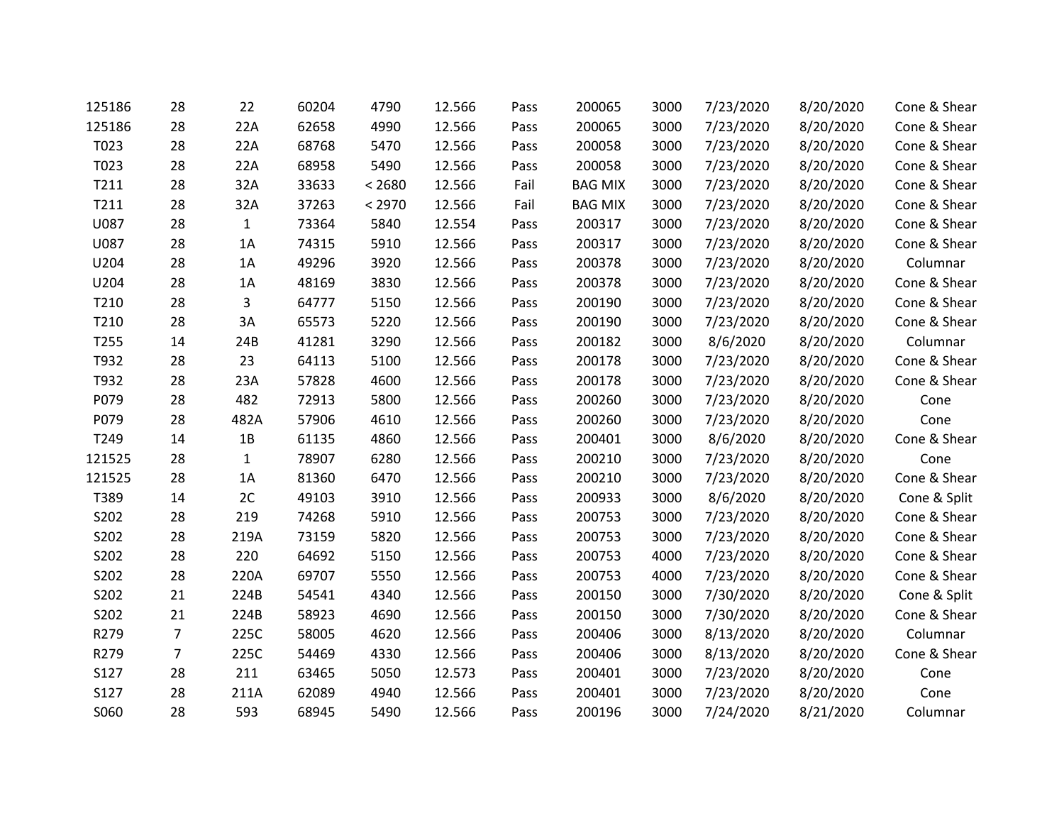| 125186 | 28             | 22           | 60204 | 4790   | 12.566 | Pass | 200065         | 3000 | 7/23/2020 | 8/20/2020 | Cone & Shear |
|--------|----------------|--------------|-------|--------|--------|------|----------------|------|-----------|-----------|--------------|
| 125186 | 28             | 22A          | 62658 | 4990   | 12.566 | Pass | 200065         | 3000 | 7/23/2020 | 8/20/2020 | Cone & Shear |
| T023   | 28             | 22A          | 68768 | 5470   | 12.566 | Pass | 200058         | 3000 | 7/23/2020 | 8/20/2020 | Cone & Shear |
| T023   | 28             | 22A          | 68958 | 5490   | 12.566 | Pass | 200058         | 3000 | 7/23/2020 | 8/20/2020 | Cone & Shear |
| T211   | 28             | 32A          | 33633 | < 2680 | 12.566 | Fail | <b>BAG MIX</b> | 3000 | 7/23/2020 | 8/20/2020 | Cone & Shear |
| T211   | 28             | 32A          | 37263 | < 2970 | 12.566 | Fail | <b>BAG MIX</b> | 3000 | 7/23/2020 | 8/20/2020 | Cone & Shear |
| U087   | 28             | $\mathbf{1}$ | 73364 | 5840   | 12.554 | Pass | 200317         | 3000 | 7/23/2020 | 8/20/2020 | Cone & Shear |
| U087   | 28             | 1A           | 74315 | 5910   | 12.566 | Pass | 200317         | 3000 | 7/23/2020 | 8/20/2020 | Cone & Shear |
| U204   | 28             | 1A           | 49296 | 3920   | 12.566 | Pass | 200378         | 3000 | 7/23/2020 | 8/20/2020 | Columnar     |
| U204   | 28             | 1A           | 48169 | 3830   | 12.566 | Pass | 200378         | 3000 | 7/23/2020 | 8/20/2020 | Cone & Shear |
| T210   | 28             | 3            | 64777 | 5150   | 12.566 | Pass | 200190         | 3000 | 7/23/2020 | 8/20/2020 | Cone & Shear |
| T210   | 28             | 3A           | 65573 | 5220   | 12.566 | Pass | 200190         | 3000 | 7/23/2020 | 8/20/2020 | Cone & Shear |
| T255   | 14             | 24B          | 41281 | 3290   | 12.566 | Pass | 200182         | 3000 | 8/6/2020  | 8/20/2020 | Columnar     |
| T932   | 28             | 23           | 64113 | 5100   | 12.566 | Pass | 200178         | 3000 | 7/23/2020 | 8/20/2020 | Cone & Shear |
| T932   | 28             | 23A          | 57828 | 4600   | 12.566 | Pass | 200178         | 3000 | 7/23/2020 | 8/20/2020 | Cone & Shear |
| P079   | 28             | 482          | 72913 | 5800   | 12.566 | Pass | 200260         | 3000 | 7/23/2020 | 8/20/2020 | Cone         |
| P079   | 28             | 482A         | 57906 | 4610   | 12.566 | Pass | 200260         | 3000 | 7/23/2020 | 8/20/2020 | Cone         |
| T249   | 14             | 1B           | 61135 | 4860   | 12.566 | Pass | 200401         | 3000 | 8/6/2020  | 8/20/2020 | Cone & Shear |
| 121525 | 28             | $\mathbf{1}$ | 78907 | 6280   | 12.566 | Pass | 200210         | 3000 | 7/23/2020 | 8/20/2020 | Cone         |
| 121525 | 28             | 1A           | 81360 | 6470   | 12.566 | Pass | 200210         | 3000 | 7/23/2020 | 8/20/2020 | Cone & Shear |
| T389   | 14             | 2C           | 49103 | 3910   | 12.566 | Pass | 200933         | 3000 | 8/6/2020  | 8/20/2020 | Cone & Split |
| S202   | 28             | 219          | 74268 | 5910   | 12.566 | Pass | 200753         | 3000 | 7/23/2020 | 8/20/2020 | Cone & Shear |
| S202   | 28             | 219A         | 73159 | 5820   | 12.566 | Pass | 200753         | 3000 | 7/23/2020 | 8/20/2020 | Cone & Shear |
| S202   | 28             | 220          | 64692 | 5150   | 12.566 | Pass | 200753         | 4000 | 7/23/2020 | 8/20/2020 | Cone & Shear |
| S202   | 28             | 220A         | 69707 | 5550   | 12.566 | Pass | 200753         | 4000 | 7/23/2020 | 8/20/2020 | Cone & Shear |
| S202   | 21             | 224B         | 54541 | 4340   | 12.566 | Pass | 200150         | 3000 | 7/30/2020 | 8/20/2020 | Cone & Split |
| S202   | 21             | 224B         | 58923 | 4690   | 12.566 | Pass | 200150         | 3000 | 7/30/2020 | 8/20/2020 | Cone & Shear |
| R279   | $\overline{7}$ | 225C         | 58005 | 4620   | 12.566 | Pass | 200406         | 3000 | 8/13/2020 | 8/20/2020 | Columnar     |
| R279   | $\overline{7}$ | 225C         | 54469 | 4330   | 12.566 | Pass | 200406         | 3000 | 8/13/2020 | 8/20/2020 | Cone & Shear |
| S127   | 28             | 211          | 63465 | 5050   | 12.573 | Pass | 200401         | 3000 | 7/23/2020 | 8/20/2020 | Cone         |
| S127   | 28             | 211A         | 62089 | 4940   | 12.566 | Pass | 200401         | 3000 | 7/23/2020 | 8/20/2020 | Cone         |
| S060   | 28             | 593          | 68945 | 5490   | 12.566 | Pass | 200196         | 3000 | 7/24/2020 | 8/21/2020 | Columnar     |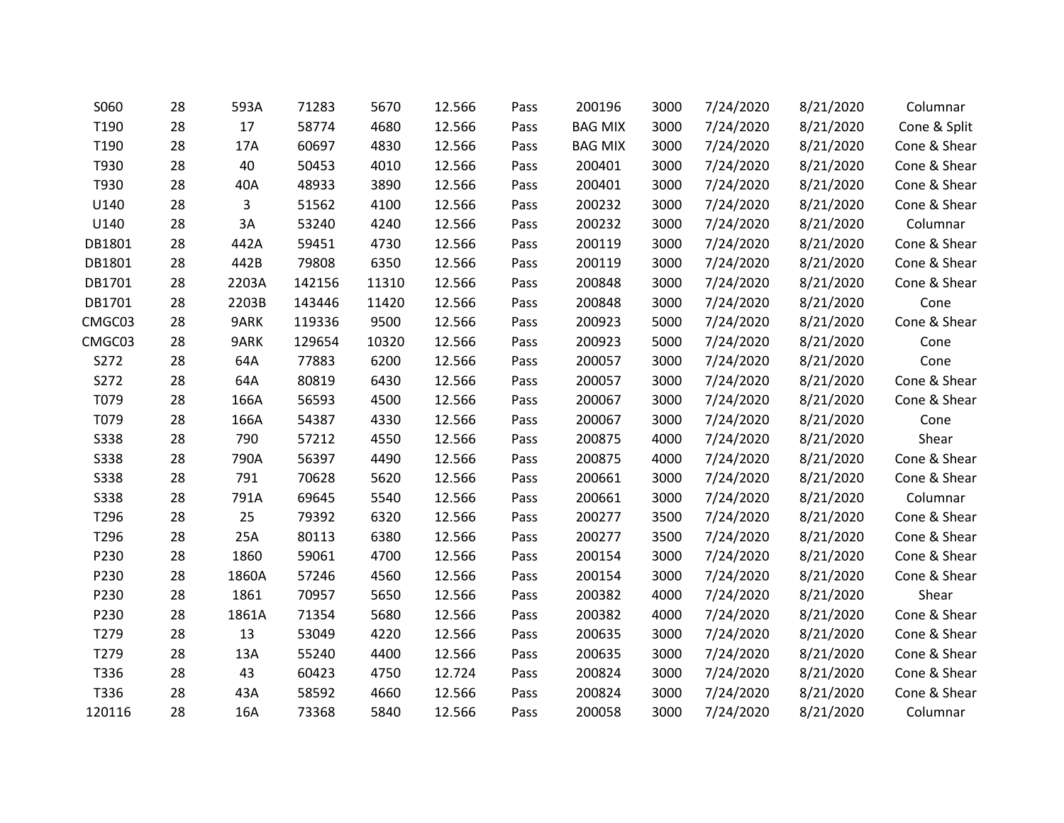| S060        | 28 | 593A  | 71283  | 5670  | 12.566 | Pass | 200196         | 3000 | 7/24/2020 | 8/21/2020 | Columnar     |
|-------------|----|-------|--------|-------|--------|------|----------------|------|-----------|-----------|--------------|
| T190        | 28 | 17    | 58774  | 4680  | 12.566 | Pass | <b>BAG MIX</b> | 3000 | 7/24/2020 | 8/21/2020 | Cone & Split |
| T190        | 28 | 17A   | 60697  | 4830  | 12.566 | Pass | <b>BAG MIX</b> | 3000 | 7/24/2020 | 8/21/2020 | Cone & Shear |
| T930        | 28 | 40    | 50453  | 4010  | 12.566 | Pass | 200401         | 3000 | 7/24/2020 | 8/21/2020 | Cone & Shear |
| T930        | 28 | 40A   | 48933  | 3890  | 12.566 | Pass | 200401         | 3000 | 7/24/2020 | 8/21/2020 | Cone & Shear |
| U140        | 28 | 3     | 51562  | 4100  | 12.566 | Pass | 200232         | 3000 | 7/24/2020 | 8/21/2020 | Cone & Shear |
| U140        | 28 | 3A    | 53240  | 4240  | 12.566 | Pass | 200232         | 3000 | 7/24/2020 | 8/21/2020 | Columnar     |
| DB1801      | 28 | 442A  | 59451  | 4730  | 12.566 | Pass | 200119         | 3000 | 7/24/2020 | 8/21/2020 | Cone & Shear |
| DB1801      | 28 | 442B  | 79808  | 6350  | 12.566 | Pass | 200119         | 3000 | 7/24/2020 | 8/21/2020 | Cone & Shear |
| DB1701      | 28 | 2203A | 142156 | 11310 | 12.566 | Pass | 200848         | 3000 | 7/24/2020 | 8/21/2020 | Cone & Shear |
| DB1701      | 28 | 2203B | 143446 | 11420 | 12.566 | Pass | 200848         | 3000 | 7/24/2020 | 8/21/2020 | Cone         |
| CMGC03      | 28 | 9ARK  | 119336 | 9500  | 12.566 | Pass | 200923         | 5000 | 7/24/2020 | 8/21/2020 | Cone & Shear |
| CMGC03      | 28 | 9ARK  | 129654 | 10320 | 12.566 | Pass | 200923         | 5000 | 7/24/2020 | 8/21/2020 | Cone         |
| S272        | 28 | 64A   | 77883  | 6200  | 12.566 | Pass | 200057         | 3000 | 7/24/2020 | 8/21/2020 | Cone         |
| S272        | 28 | 64A   | 80819  | 6430  | 12.566 | Pass | 200057         | 3000 | 7/24/2020 | 8/21/2020 | Cone & Shear |
| T079        | 28 | 166A  | 56593  | 4500  | 12.566 | Pass | 200067         | 3000 | 7/24/2020 | 8/21/2020 | Cone & Shear |
| T079        | 28 | 166A  | 54387  | 4330  | 12.566 | Pass | 200067         | 3000 | 7/24/2020 | 8/21/2020 | Cone         |
| <b>S338</b> | 28 | 790   | 57212  | 4550  | 12.566 | Pass | 200875         | 4000 | 7/24/2020 | 8/21/2020 | Shear        |
| <b>S338</b> | 28 | 790A  | 56397  | 4490  | 12.566 | Pass | 200875         | 4000 | 7/24/2020 | 8/21/2020 | Cone & Shear |
| <b>S338</b> | 28 | 791   | 70628  | 5620  | 12.566 | Pass | 200661         | 3000 | 7/24/2020 | 8/21/2020 | Cone & Shear |
| <b>S338</b> | 28 | 791A  | 69645  | 5540  | 12.566 | Pass | 200661         | 3000 | 7/24/2020 | 8/21/2020 | Columnar     |
| T296        | 28 | 25    | 79392  | 6320  | 12.566 | Pass | 200277         | 3500 | 7/24/2020 | 8/21/2020 | Cone & Shear |
| T296        | 28 | 25A   | 80113  | 6380  | 12.566 | Pass | 200277         | 3500 | 7/24/2020 | 8/21/2020 | Cone & Shear |
| P230        | 28 | 1860  | 59061  | 4700  | 12.566 | Pass | 200154         | 3000 | 7/24/2020 | 8/21/2020 | Cone & Shear |
| P230        | 28 | 1860A | 57246  | 4560  | 12.566 | Pass | 200154         | 3000 | 7/24/2020 | 8/21/2020 | Cone & Shear |
| P230        | 28 | 1861  | 70957  | 5650  | 12.566 | Pass | 200382         | 4000 | 7/24/2020 | 8/21/2020 | Shear        |
| P230        | 28 | 1861A | 71354  | 5680  | 12.566 | Pass | 200382         | 4000 | 7/24/2020 | 8/21/2020 | Cone & Shear |
| T279        | 28 | 13    | 53049  | 4220  | 12.566 | Pass | 200635         | 3000 | 7/24/2020 | 8/21/2020 | Cone & Shear |
| T279        | 28 | 13A   | 55240  | 4400  | 12.566 | Pass | 200635         | 3000 | 7/24/2020 | 8/21/2020 | Cone & Shear |
| T336        | 28 | 43    | 60423  | 4750  | 12.724 | Pass | 200824         | 3000 | 7/24/2020 | 8/21/2020 | Cone & Shear |
| T336        | 28 | 43A   | 58592  | 4660  | 12.566 | Pass | 200824         | 3000 | 7/24/2020 | 8/21/2020 | Cone & Shear |
| 120116      | 28 | 16A   | 73368  | 5840  | 12.566 | Pass | 200058         | 3000 | 7/24/2020 | 8/21/2020 | Columnar     |